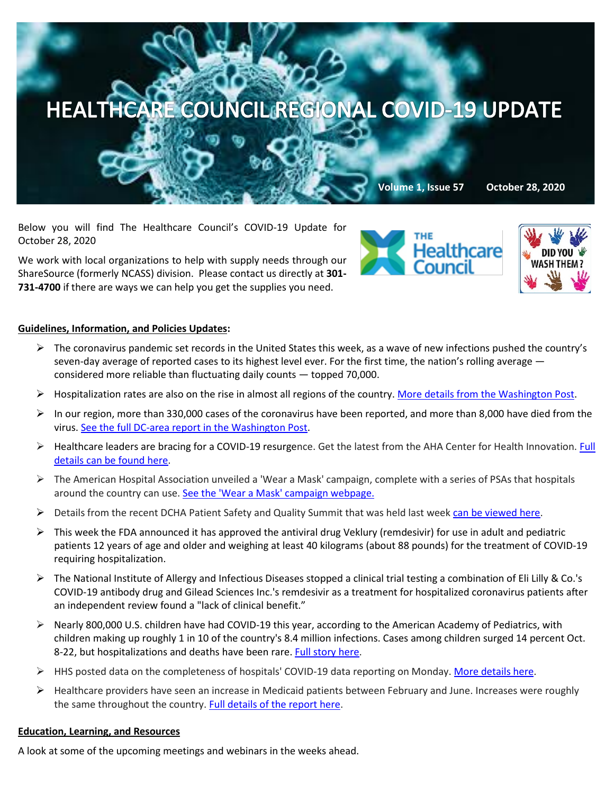

Below you will find The Healthcare Council's COVID-19 Update for October 28, 2020

We work with local organizations to help with supply needs through our ShareSource (formerly NCASS) division. Please contact us directly at **301- 731-4700** if there are ways we can help you get the supplies you need.





## **Guidelines, Information, and Policies Updates:**

- $\triangleright$  The coronavirus pandemic set records in the United States this week, as a wave of new infections pushed the country's seven-day average of reported cases to its highest level ever. For the first time, the nation's rolling average  $$ considered more reliable than fluctuating daily counts — topped 70,000.
- $\triangleright$  Hospitalization rates are also on the rise in almost all regions of the country[. More details from the Washington Post.](https://www.washingtonpost.com/health/covid-hospitals-record-patients/2020/10/26/0bc362cc-17b2-11eb-befb-8864259bd2d8_story.html)
- $\triangleright$  In our region, more than 330,000 cases of the coronavirus have been reported, and more than 8,000 have died from the virus[. See the full DC-area report in](https://www.washingtonpost.com/graphics/local/dc-maryland-virginia-coronavirus-cases/) the Washington Post.
- $\triangleright$  Healthcare leaders are bracing for a COVID-19 resurgence. Get the latest from the AHA Center for Health Innovation. Full [details can be found here.](https://contentsharing.net/actions/email_web_version.cfm?ep=Bdhtp-zVuqFkgQiV6-lxty0f-nrLBJWzuTngPvD-5dV9mK_4tN_ud23iiKaFZJ35aNx5li_Xi_LtJUOe1kisGCeOskeCJr_ljqLjm3j2Xbi9v3uvUyPMkY_az7Y0ihDo)
- $\triangleright$  The American Hospital Association unveiled a 'Wear a Mask' campaign, complete with a series of PSAs that hospitals around the country can use. [See the 'Wear a Mask' campaign webpage.](https://contentsharing.net/actions/email_web_version.cfm?ep=Bdhtp-zVuqFkgQiV6-lxty0f-nrLBJWzuTngPvD-5dVB1Tg-dz_LepD-2KiA4BbmasYjQkyWeLjWB6BYfpWV1VrnEILY1Le24tbJLerKDCEiMraTtZfV9FyuDf2k_MYm)
- Details from the recent DCHA Patient Safety and Quality Summit that was held last week [can be viewed here.](https://www.dcha.org/education-events/summit)
- $\triangleright$  This week the FDA announced it has approved the antiviral drug Veklury (remdesivir) for use in adult and pediatric patients 12 years of age and older and weighing at least 40 kilograms (about 88 pounds) for the treatment of COVID-19 requiring hospitalization.
- The National Institute of Allergy and Infectious Diseases stopped a clinical trial testing a combination of Eli Lilly & Co.'s COVID-19 antibody drug and Gilead Sciences Inc.'s remdesivir as a treatment for hospitalized coronavirus patients after an independent review found a "lack of clinical benefit."
- Nearly 800,000 U.S. children have had COVID-19 this year, according to the American Academy of Pediatrics, with children making up roughly 1 in 10 of the country's 8.4 million infections. Cases among children surged 14 percent Oct. 8-22, but hospitalizations and deaths have been rare. [Full story here.](https://thehill.com/policy/healthcare/522871-pediatricians-almost-800000-us-kids-infected-by-covid-19-cases-rising-?mkt_tok=eyJpIjoiTXpNNE1XTm1aR1k0WlRSayIsInQiOiI1Skt3ZmlHSUh6WTVVT3NqWkFcLzRLbmhiQzNlYXRlZ0dXNkxKMEx6ZitQKzNGSkV5S3JkZ3I3TlJzTzR2and5TzJTcnVFanhNSjJlWWxOS3puSzdySXFwUmtndVpnUGkySDl6OE1CNE1QMVNXY2VRY3IzNEoyb1A3aDlHNG9UaDUifQ==)
- HHS posted data on the completeness of hospitals' COVID-19 data reporting on Monday[. More details here.](https://contentsharing.net/actions/email_web_version.cfm?ep=Bdhtp-zVuqFkgQiV6-lxty0f-nrLBJWzuTngPvD-5dUno9dBPfEbPn8Uc2qcBZklxtVTf08vti4bYsdb2msH7S9GVvGUqRQGssSLzsOH6-6RpG-fPm6mHWj_bUzFHpqY)
- $\triangleright$  Healthcare providers have seen an increase in Medicaid patients between February and June. Increases were roughly the same throughout the country[. Full details of the report here.](https://www.pwc.com/us/en/industries/health-industries/library/providers-seeing-increased-flow-of-medicaid-patients-as-crisis-continues.html?WT.mc_id=CT2-PL200-DM2-TR1-LS4-ND8-PR4-CN_HRINEXTINHEALTH10262020-10262020&pwctrackemail=lpitton@healthcare-council.org)

## **Education, Learning, and Resources**

A look at some of the upcoming meetings and webinars in the weeks ahead.